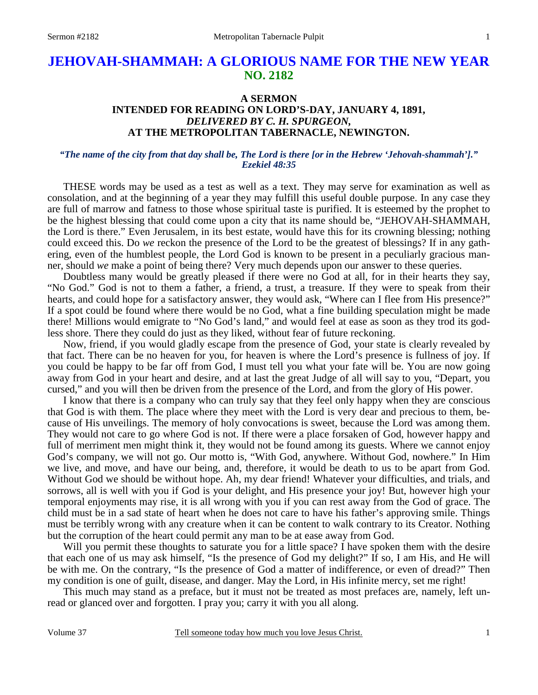# **JEHOVAH-SHAMMAH: A GLORIOUS NAME FOR THE NEW YEAR NO. 2182**

# **A SERMON INTENDED FOR READING ON LORD'S-DAY, JANUARY 4, 1891,**  *DELIVERED BY C. H. SPURGEON,*  **AT THE METROPOLITAN TABERNACLE, NEWINGTON.**

# *"The name of the city from that day shall be, The Lord is there [or in the Hebrew 'Jehovah-shammah']." Ezekiel 48:35*

 THESE words may be used as a test as well as a text. They may serve for examination as well as consolation, and at the beginning of a year they may fulfill this useful double purpose. In any case they are full of marrow and fatness to those whose spiritual taste is purified. It is esteemed by the prophet to be the highest blessing that could come upon a city that its name should be, "JEHOVAH-SHAMMAH, the Lord is there." Even Jerusalem, in its best estate, would have this for its crowning blessing; nothing could exceed this. Do *we* reckon the presence of the Lord to be the greatest of blessings? If in any gathering, even of the humblest people, the Lord God is known to be present in a peculiarly gracious manner, should *we* make a point of being there? Very much depends upon our answer to these queries.

 Doubtless many would be greatly pleased if there were no God at all, for in their hearts they say, "No God." God is not to them a father, a friend, a trust, a treasure. If they were to speak from their hearts, and could hope for a satisfactory answer, they would ask, "Where can I flee from His presence?" If a spot could be found where there would be no God, what a fine building speculation might be made there! Millions would emigrate to "No God's land," and would feel at ease as soon as they trod its godless shore. There they could do just as they liked, without fear of future reckoning.

 Now, friend, if you would gladly escape from the presence of God, your state is clearly revealed by that fact. There can be no heaven for you, for heaven is where the Lord's presence is fullness of joy. If you could be happy to be far off from God, I must tell you what your fate will be. You are now going away from God in your heart and desire, and at last the great Judge of all will say to you, "Depart, you cursed," and you will then be driven from the presence of the Lord, and from the glory of His power.

 I know that there is a company who can truly say that they feel only happy when they are conscious that God is with them. The place where they meet with the Lord is very dear and precious to them, because of His unveilings. The memory of holy convocations is sweet, because the Lord was among them. They would not care to go where God is not. If there were a place forsaken of God, however happy and full of merriment men might think it, they would not be found among its guests. Where we cannot enjoy God's company, we will not go. Our motto is, "With God, anywhere. Without God, nowhere." In Him we live, and move, and have our being, and, therefore, it would be death to us to be apart from God. Without God we should be without hope. Ah, my dear friend! Whatever your difficulties, and trials, and sorrows, all is well with you if God is your delight, and His presence your joy! But, however high your temporal enjoyments may rise, it is all wrong with you if you can rest away from the God of grace. The child must be in a sad state of heart when he does not care to have his father's approving smile. Things must be terribly wrong with any creature when it can be content to walk contrary to its Creator. Nothing but the corruption of the heart could permit any man to be at ease away from God.

Will you permit these thoughts to saturate you for a little space? I have spoken them with the desire that each one of us may ask himself, "Is the presence of God my delight?" If so, I am His, and He will be with me. On the contrary, "Is the presence of God a matter of indifference, or even of dread?" Then my condition is one of guilt, disease, and danger. May the Lord, in His infinite mercy, set me right!

 This much may stand as a preface, but it must not be treated as most prefaces are, namely, left unread or glanced over and forgotten. I pray you; carry it with you all along.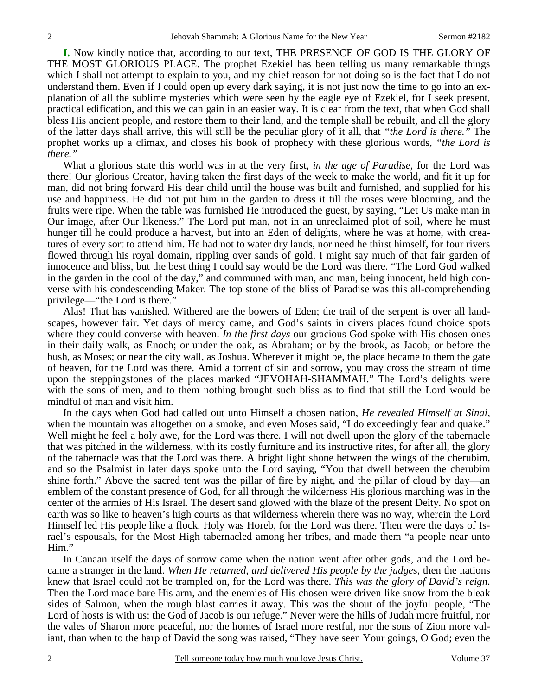**I.** Now kindly notice that, according to our text, THE PRESENCE OF GOD IS THE GLORY OF THE MOST GLORIOUS PLACE. The prophet Ezekiel has been telling us many remarkable things which I shall not attempt to explain to you, and my chief reason for not doing so is the fact that I do not understand them. Even if I could open up every dark saying, it is not just now the time to go into an explanation of all the sublime mysteries which were seen by the eagle eye of Ezekiel, for I seek present, practical edification, and this we can gain in an easier way. It is clear from the text, that when God shall bless His ancient people, and restore them to their land, and the temple shall be rebuilt, and all the glory of the latter days shall arrive, this will still be the peculiar glory of it all, that *"the Lord is there."* The prophet works up a climax, and closes his book of prophecy with these glorious words, *"the Lord is there."*

 What a glorious state this world was in at the very first, *in the age of Paradise,* for the Lord was there! Our glorious Creator, having taken the first days of the week to make the world, and fit it up for man, did not bring forward His dear child until the house was built and furnished, and supplied for his use and happiness. He did not put him in the garden to dress it till the roses were blooming, and the fruits were ripe. When the table was furnished He introduced the guest, by saying, "Let Us make man in Our image, after Our likeness." The Lord put man, not in an unreclaimed plot of soil, where he must hunger till he could produce a harvest, but into an Eden of delights, where he was at home, with creatures of every sort to attend him. He had not to water dry lands, nor need he thirst himself, for four rivers flowed through his royal domain, rippling over sands of gold. I might say much of that fair garden of innocence and bliss, but the best thing I could say would be the Lord was there. "The Lord God walked in the garden in the cool of the day," and communed with man, and man, being innocent, held high converse with his condescending Maker. The top stone of the bliss of Paradise was this all-comprehending privilege—"the Lord is there."

 Alas! That has vanished. Withered are the bowers of Eden; the trail of the serpent is over all landscapes, however fair. Yet days of mercy came, and God's saints in divers places found choice spots where they could converse with heaven. *In the first days* our gracious God spoke with His chosen ones in their daily walk, as Enoch; or under the oak, as Abraham; or by the brook, as Jacob; or before the bush, as Moses; or near the city wall, as Joshua. Wherever it might be, the place became to them the gate of heaven, for the Lord was there. Amid a torrent of sin and sorrow, you may cross the stream of time upon the steppingstones of the places marked "JEVOHAH-SHAMMAH." The Lord's delights were with the sons of men, and to them nothing brought such bliss as to find that still the Lord would be mindful of man and visit him.

 In the days when God had called out unto Himself a chosen nation, *He revealed Himself at Sinai,* when the mountain was altogether on a smoke, and even Moses said, "I do exceedingly fear and quake." Well might he feel a holy awe, for the Lord was there. I will not dwell upon the glory of the tabernacle that was pitched in the wilderness, with its costly furniture and its instructive rites, for after all, the glory of the tabernacle was that the Lord was there. A bright light shone between the wings of the cherubim, and so the Psalmist in later days spoke unto the Lord saying, "You that dwell between the cherubim shine forth." Above the sacred tent was the pillar of fire by night, and the pillar of cloud by day—an emblem of the constant presence of God, for all through the wilderness His glorious marching was in the center of the armies of His Israel. The desert sand glowed with the blaze of the present Deity. No spot on earth was so like to heaven's high courts as that wilderness wherein there was no way, wherein the Lord Himself led His people like a flock. Holy was Horeb, for the Lord was there. Then were the days of Israel's espousals, for the Most High tabernacled among her tribes, and made them "a people near unto Him."

 In Canaan itself the days of sorrow came when the nation went after other gods, and the Lord became a stranger in the land. *When He returned, and delivered His people by the judge*s, then the nations knew that Israel could not be trampled on, for the Lord was there. *This was the glory of David's reign*. Then the Lord made bare His arm, and the enemies of His chosen were driven like snow from the bleak sides of Salmon, when the rough blast carries it away. This was the shout of the joyful people, "The Lord of hosts is with us: the God of Jacob is our refuge." Never were the hills of Judah more fruitful, nor the vales of Sharon more peaceful, nor the homes of Israel more restful, nor the sons of Zion more valiant, than when to the harp of David the song was raised, "They have seen Your goings, O God; even the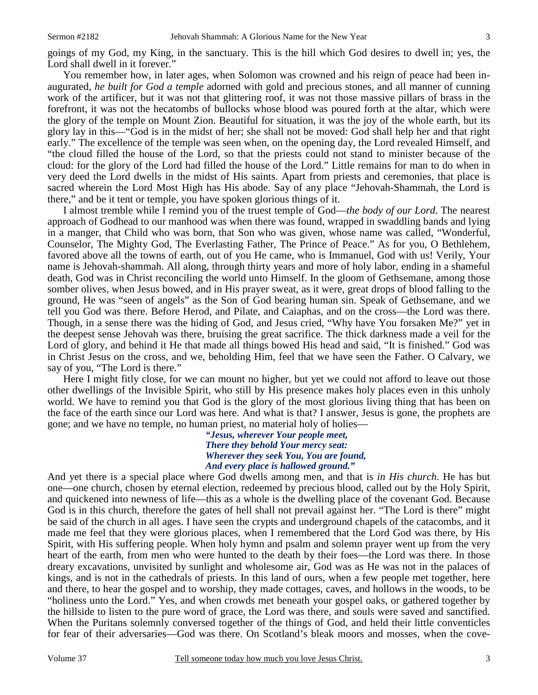goings of my God, my King, in the sanctuary. This is the hill which God desires to dwell in; yes, the Lord shall dwell in it forever."

 You remember how, in later ages, when Solomon was crowned and his reign of peace had been inaugurated, *he built for God a temple* adorned with gold and precious stones, and all manner of cunning work of the artificer, but it was not that glittering roof, it was not those massive pillars of brass in the forefront, it was not the hecatombs of bullocks whose blood was poured forth at the altar, which were the glory of the temple on Mount Zion. Beautiful for situation, it was the joy of the whole earth, but its glory lay in this—"God is in the midst of her; she shall not be moved: God shall help her and that right early." The excellence of the temple was seen when, on the opening day, the Lord revealed Himself, and "the cloud filled the house of the Lord, so that the priests could not stand to minister because of the cloud: for the glory of the Lord had filled the house of the Lord." Little remains for man to do when in very deed the Lord dwells in the midst of His saints. Apart from priests and ceremonies, that place is sacred wherein the Lord Most High has His abode. Say of any place "Jehovah-Shammah, the Lord is there," and be it tent or temple, you have spoken glorious things of it.

 I almost tremble while I remind you of the truest temple of God—*the body of our Lord*. The nearest approach of Godhead to our manhood was when there was found, wrapped in swaddling bands and lying in a manger, that Child who was born, that Son who was given, whose name was called, "Wonderful, Counselor, The Mighty God, The Everlasting Father, The Prince of Peace." As for you, O Bethlehem, favored above all the towns of earth, out of you He came, who is Immanuel, God with us! Verily, Your name is Jehovah-shammah. All along, through thirty years and more of holy labor, ending in a shameful death, God was in Christ reconciling the world unto Himself. In the gloom of Gethsemane, among those somber olives, when Jesus bowed, and in His prayer sweat, as it were, great drops of blood falling to the ground, He was "seen of angels" as the Son of God bearing human sin. Speak of Gethsemane, and we tell you God was there. Before Herod, and Pilate, and Caiaphas, and on the cross—the Lord was there. Though, in a sense there was the hiding of God, and Jesus cried, "Why have You forsaken Me?" yet in the deepest sense Jehovah was there, bruising the great sacrifice. The thick darkness made a veil for the Lord of glory, and behind it He that made all things bowed His head and said, "It is finished." God was in Christ Jesus on the cross, and we, beholding Him, feel that we have seen the Father. O Calvary, we say of you, "The Lord is there."

 Here I might fitly close, for we can mount no higher, but yet we could not afford to leave out those other dwellings of the Invisible Spirit, who still by His presence makes holy places even in this unholy world. We have to remind you that God is the glory of the most glorious living thing that has been on the face of the earth since our Lord was here. And what is that? I answer, Jesus is gone, the prophets are gone; and we have no temple, no human priest, no material holy of holies—

> *"Jesus, wherever Your people meet, There they behold Your mercy seat: Wherever they seek You, You are found, And every place is hallowed ground."*

And yet there is a special place where God dwells among men, and that is *in His church*. He has but one—one church, chosen by eternal election, redeemed by precious blood, called out by the Holy Spirit, and quickened into newness of life—this as a whole is the dwelling place of the covenant God. Because God is in this church, therefore the gates of hell shall not prevail against her. "The Lord is there" might be said of the church in all ages. I have seen the crypts and underground chapels of the catacombs, and it made me feel that they were glorious places, when I remembered that the Lord God was there, by His Spirit, with His suffering people. When holy hymn and psalm and solemn prayer went up from the very heart of the earth, from men who were hunted to the death by their foes—the Lord was there. In those dreary excavations, unvisited by sunlight and wholesome air, God was as He was not in the palaces of kings, and is not in the cathedrals of priests. In this land of ours, when a few people met together, here and there, to hear the gospel and to worship, they made cottages, caves, and hollows in the woods, to be "holiness unto the Lord." Yes, and when crowds met beneath your gospel oaks, or gathered together by the hillside to listen to the pure word of grace, the Lord was there, and souls were saved and sanctified. When the Puritans solemnly conversed together of the things of God, and held their little conventicles for fear of their adversaries—God was there. On Scotland's bleak moors and mosses, when the cove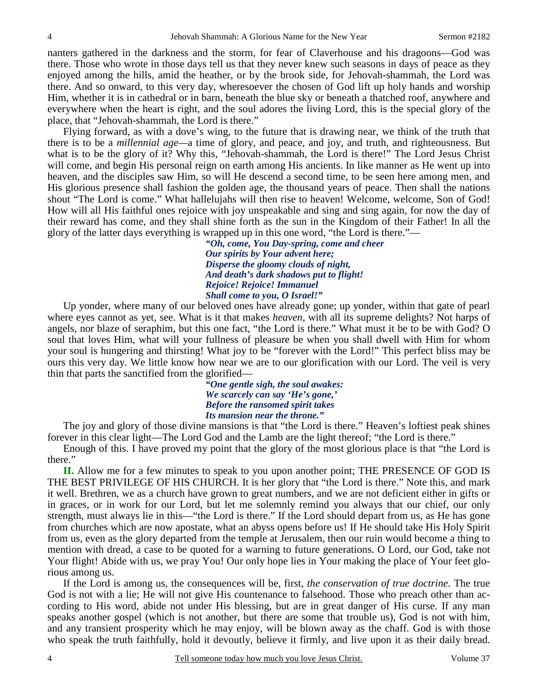nanters gathered in the darkness and the storm, for fear of Claverhouse and his dragoons—God was there. Those who wrote in those days tell us that they never knew such seasons in days of peace as they enjoyed among the hills, amid the heather, or by the brook side, for Jehovah-shammah, the Lord was there. And so onward, to this very day, wheresoever the chosen of God lift up holy hands and worship Him, whether it is in cathedral or in barn, beneath the blue sky or beneath a thatched roof, anywhere and everywhere when the heart is right, and the soul adores the living Lord, this is the special glory of the place, that "Jehovah-shammah, the Lord is there."

 Flying forward, as with a dove's wing, to the future that is drawing near, we think of the truth that there is to be a *millennial age—*a time of glory, and peace, and joy, and truth, and righteousness. But what is to be the glory of it? Why this, "Jehovah-shammah, the Lord is there!" The Lord Jesus Christ will come, and begin His personal reign on earth among His ancients. In like manner as He went up into heaven, and the disciples saw Him, so will He descend a second time, to be seen here among men, and His glorious presence shall fashion the golden age, the thousand years of peace. Then shall the nations shout "The Lord is come." What hallelujahs will then rise to heaven! Welcome, welcome, Son of God! How will all His faithful ones rejoice with joy unspeakable and sing and sing again, for now the day of their reward has come, and they shall shine forth as the sun in the Kingdom of their Father! In all the glory of the latter days everything is wrapped up in this one word, "the Lord is there."—

*"Oh, come, You Day-spring, come and cheer Our spirits by Your advent here; Disperse the gloomy clouds of night, And death's dark shadows put to flight! Rejoice! Rejoice! Immanuel Shall come to you, O Israel!"* 

Up yonder, where many of our beloved ones have already gone; up yonder, within that gate of pearl where eyes cannot as yet, see. What is it that makes *heaven,* with all its supreme delights? Not harps of angels, nor blaze of seraphim, but this one fact, "the Lord is there." What must it be to be with God? O soul that loves Him, what will your fullness of pleasure be when you shall dwell with Him for whom your soul is hungering and thirsting! What joy to be "forever with the Lord!" This perfect bliss may be ours this very day. We little know how near we are to our glorification with our Lord. The veil is very thin that parts the sanctified from the glorified—

> *"One gentle sigh, the soul awakes: We scarcely can say 'He's gone,' Before the ransomed spirit takes Its mansion near the throne."*

The joy and glory of those divine mansions is that "the Lord is there." Heaven's loftiest peak shines forever in this clear light—The Lord God and the Lamb are the light thereof; "the Lord is there."

 Enough of this. I have proved my point that the glory of the most glorious place is that "the Lord is there."

**II.** Allow me for a few minutes to speak to you upon another point; THE PRESENCE OF GOD IS THE BEST PRIVILEGE OF HIS CHURCH. It is her glory that "the Lord is there." Note this, and mark it well. Brethren, we as a church have grown to great numbers, and we are not deficient either in gifts or in graces, or in work for our Lord, but let me solemnly remind you always that our chief, our only strength, must always lie in this—"the Lord is there." If the Lord should depart from us, as He has gone from churches which are now apostate, what an abyss opens before us! If He should take His Holy Spirit from us, even as the glory departed from the temple at Jerusalem, then our ruin would become a thing to mention with dread, a case to be quoted for a warning to future generations. O Lord, our God, take not Your flight! Abide with us, we pray You! Our only hope lies in Your making the place of Your feet glorious among us.

 If the Lord is among us, the consequences will be, first, *the conservation of true doctrine*. The true God is not with a lie; He will not give His countenance to falsehood. Those who preach other than according to His word, abide not under His blessing, but are in great danger of His curse. If any man speaks another gospel (which is not another, but there are some that trouble us), God is not with him, and any transient prosperity which he may enjoy, will be blown away as the chaff. God is with those who speak the truth faithfully, hold it devoutly, believe it firmly, and live upon it as their daily bread.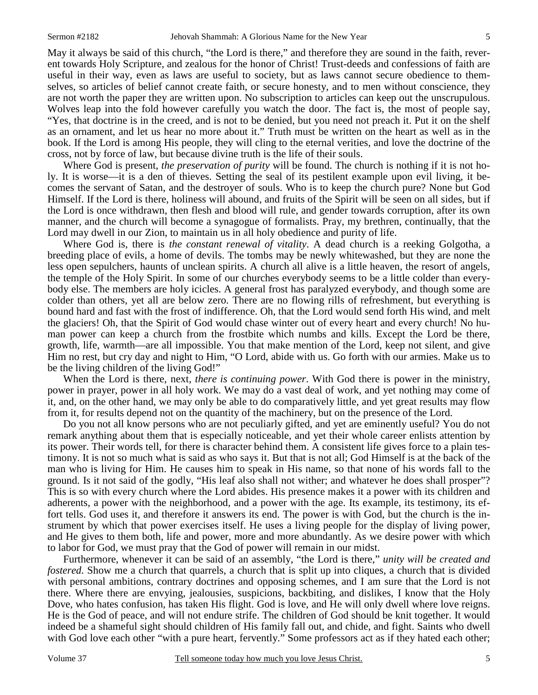May it always be said of this church, "the Lord is there," and therefore they are sound in the faith, reverent towards Holy Scripture, and zealous for the honor of Christ! Trust-deeds and confessions of faith are useful in their way, even as laws are useful to society, but as laws cannot secure obedience to themselves, so articles of belief cannot create faith, or secure honesty, and to men without conscience, they are not worth the paper they are written upon. No subscription to articles can keep out the unscrupulous. Wolves leap into the fold however carefully you watch the door. The fact is, the most of people say, "Yes, that doctrine is in the creed, and is not to be denied, but you need not preach it. Put it on the shelf as an ornament, and let us hear no more about it." Truth must be written on the heart as well as in the book. If the Lord is among His people, they will cling to the eternal verities, and love the doctrine of the cross, not by force of law, but because divine truth is the life of their souls.

 Where God is present, *the preservation of purity* will be found. The church is nothing if it is not holy. It is worse—it is a den of thieves. Setting the seal of its pestilent example upon evil living, it becomes the servant of Satan, and the destroyer of souls. Who is to keep the church pure? None but God Himself. If the Lord is there, holiness will abound, and fruits of the Spirit will be seen on all sides, but if the Lord is once withdrawn, then flesh and blood will rule, and gender towards corruption, after its own manner, and the church will become a synagogue of formalists. Pray, my brethren, continually, that the Lord may dwell in our Zion, to maintain us in all holy obedience and purity of life.

 Where God is, there is *the constant renewal of vitality*. A dead church is a reeking Golgotha, a breeding place of evils, a home of devils. The tombs may be newly whitewashed, but they are none the less open sepulchers, haunts of unclean spirits. A church all alive is a little heaven, the resort of angels, the temple of the Holy Spirit. In some of our churches everybody seems to be a little colder than everybody else. The members are holy icicles. A general frost has paralyzed everybody, and though some are colder than others, yet all are below zero. There are no flowing rills of refreshment, but everything is bound hard and fast with the frost of indifference. Oh, that the Lord would send forth His wind, and melt the glaciers! Oh, that the Spirit of God would chase winter out of every heart and every church! No human power can keep a church from the frostbite which numbs and kills. Except the Lord be there, growth, life, warmth—are all impossible. You that make mention of the Lord, keep not silent, and give Him no rest, but cry day and night to Him, "O Lord, abide with us. Go forth with our armies. Make us to be the living children of the living God!"

 When the Lord is there, next, *there is continuing power*. With God there is power in the ministry, power in prayer, power in all holy work. We may do a vast deal of work, and yet nothing may come of it, and, on the other hand, we may only be able to do comparatively little, and yet great results may flow from it, for results depend not on the quantity of the machinery, but on the presence of the Lord.

 Do you not all know persons who are not peculiarly gifted, and yet are eminently useful? You do not remark anything about them that is especially noticeable, and yet their whole career enlists attention by its power. Their words tell, for there is character behind them. A consistent life gives force to a plain testimony. It is not so much what is said as who says it. But that is not all; God Himself is at the back of the man who is living for Him. He causes him to speak in His name, so that none of his words fall to the ground. Is it not said of the godly, "His leaf also shall not wither; and whatever he does shall prosper"? This is so with every church where the Lord abides. His presence makes it a power with its children and adherents, a power with the neighborhood, and a power with the age. Its example, its testimony, its effort tells. God uses it, and therefore it answers its end. The power is with God, but the church is the instrument by which that power exercises itself. He uses a living people for the display of living power, and He gives to them both, life and power, more and more abundantly. As we desire power with which to labor for God, we must pray that the God of power will remain in our midst.

 Furthermore, whenever it can be said of an assembly, "the Lord is there," *unity will be created and fostered*. Show me a church that quarrels, a church that is split up into cliques, a church that is divided with personal ambitions, contrary doctrines and opposing schemes, and I am sure that the Lord is not there. Where there are envying, jealousies, suspicions, backbiting, and dislikes, I know that the Holy Dove, who hates confusion, has taken His flight. God is love, and He will only dwell where love reigns. He is the God of peace, and will not endure strife. The children of God should be knit together. It would indeed be a shameful sight should children of His family fall out, and chide, and fight. Saints who dwell with God love each other "with a pure heart, fervently." Some professors act as if they hated each other;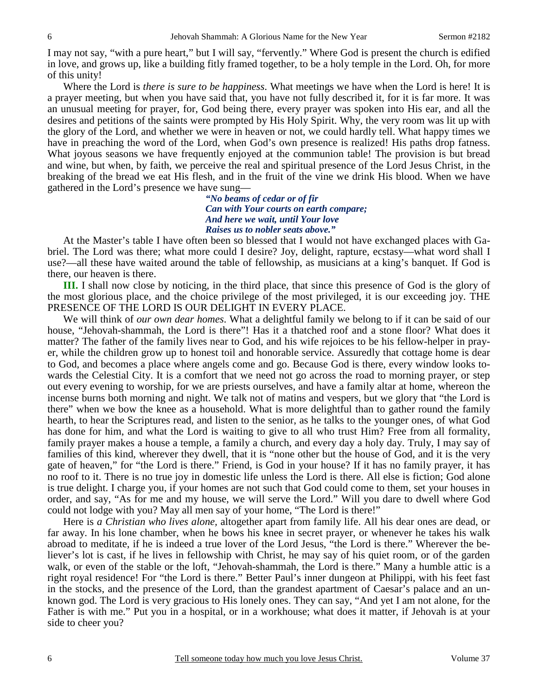I may not say, "with a pure heart," but I will say, "fervently." Where God is present the church is edified in love, and grows up, like a building fitly framed together, to be a holy temple in the Lord. Oh, for more of this unity!

 Where the Lord is *there is sure to be happiness*. What meetings we have when the Lord is here! It is a prayer meeting, but when you have said that, you have not fully described it, for it is far more. It was an unusual meeting for prayer, for, God being there, every prayer was spoken into His ear, and all the desires and petitions of the saints were prompted by His Holy Spirit. Why, the very room was lit up with the glory of the Lord, and whether we were in heaven or not, we could hardly tell. What happy times we have in preaching the word of the Lord, when God's own presence is realized! His paths drop fatness. What joyous seasons we have frequently enjoyed at the communion table! The provision is but bread and wine, but when, by faith, we perceive the real and spiritual presence of the Lord Jesus Christ, in the breaking of the bread we eat His flesh, and in the fruit of the vine we drink His blood. When we have gathered in the Lord's presence we have sung—

> *"No beams of cedar or of fir Can with Your courts on earth compare; And here we wait, until Your love Raises us to nobler seats above."*

At the Master's table I have often been so blessed that I would not have exchanged places with Gabriel. The Lord was there; what more could I desire? Joy, delight, rapture, ecstasy—what word shall I use?—all these have waited around the table of fellowship, as musicians at a king's banquet. If God is there, our heaven is there.

**III.** I shall now close by noticing, in the third place, that since this presence of God is the glory of the most glorious place, and the choice privilege of the most privileged, it is our exceeding joy. THE PRESENCE OF THE LORD IS OUR DELIGHT IN EVERY PLACE.

 We will think of *our own dear homes*. What a delightful family we belong to if it can be said of our house, "Jehovah-shammah, the Lord is there"! Has it a thatched roof and a stone floor? What does it matter? The father of the family lives near to God, and his wife rejoices to be his fellow-helper in prayer, while the children grow up to honest toil and honorable service. Assuredly that cottage home is dear to God, and becomes a place where angels come and go. Because God is there, every window looks towards the Celestial City. It is a comfort that we need not go across the road to morning prayer, or step out every evening to worship, for we are priests ourselves, and have a family altar at home, whereon the incense burns both morning and night. We talk not of matins and vespers, but we glory that "the Lord is there" when we bow the knee as a household. What is more delightful than to gather round the family hearth, to hear the Scriptures read, and listen to the senior, as he talks to the younger ones, of what God has done for him, and what the Lord is waiting to give to all who trust Him? Free from all formality, family prayer makes a house a temple, a family a church, and every day a holy day. Truly, I may say of families of this kind, wherever they dwell, that it is "none other but the house of God, and it is the very gate of heaven," for "the Lord is there." Friend, is God in your house? If it has no family prayer, it has no roof to it. There is no true joy in domestic life unless the Lord is there. All else is fiction; God alone is true delight. I charge you, if your homes are not such that God could come to them, set your houses in order, and say, "As for me and my house, we will serve the Lord." Will you dare to dwell where God could not lodge with you? May all men say of your home, "The Lord is there!"

 Here is *a Christian who lives alone,* altogether apart from family life. All his dear ones are dead, or far away. In his lone chamber, when he bows his knee in secret prayer, or whenever he takes his walk abroad to meditate, if he is indeed a true lover of the Lord Jesus, "the Lord is there." Wherever the believer's lot is cast, if he lives in fellowship with Christ, he may say of his quiet room, or of the garden walk, or even of the stable or the loft, "Jehovah-shammah, the Lord is there." Many a humble attic is a right royal residence! For "the Lord is there." Better Paul's inner dungeon at Philippi, with his feet fast in the stocks, and the presence of the Lord, than the grandest apartment of Caesar's palace and an unknown god. The Lord is very gracious to His lonely ones. They can say, "And yet I am not alone, for the Father is with me." Put you in a hospital, or in a workhouse; what does it matter, if Jehovah is at your side to cheer you?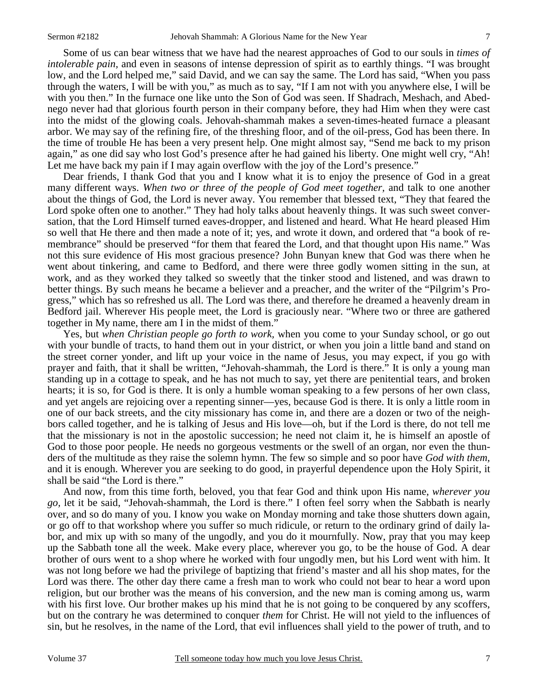Some of us can bear witness that we have had the nearest approaches of God to our souls in *times of intolerable pain,* and even in seasons of intense depression of spirit as to earthly things. "I was brought low, and the Lord helped me," said David, and we can say the same. The Lord has said, "When you pass through the waters, I will be with you," as much as to say, "If I am not with you anywhere else, I will be with you then." In the furnace one like unto the Son of God was seen. If Shadrach, Meshach, and Abednego never had that glorious fourth person in their company before, they had Him when they were cast into the midst of the glowing coals. Jehovah-shammah makes a seven-times-heated furnace a pleasant arbor. We may say of the refining fire, of the threshing floor, and of the oil-press, God has been there. In the time of trouble He has been a very present help. One might almost say, "Send me back to my prison again," as one did say who lost God's presence after he had gained his liberty. One might well cry, "Ah! Let me have back my pain if I may again overflow with the joy of the Lord's presence."

 Dear friends, I thank God that you and I know what it is to enjoy the presence of God in a great many different ways. *When two or three of the people of God meet together,* and talk to one another about the things of God, the Lord is never away. You remember that blessed text, "They that feared the Lord spoke often one to another." They had holy talks about heavenly things. It was such sweet conversation, that the Lord Himself turned eaves-dropper, and listened and heard. What He heard pleased Him so well that He there and then made a note of it; yes, and wrote it down, and ordered that "a book of remembrance" should be preserved "for them that feared the Lord, and that thought upon His name." Was not this sure evidence of His most gracious presence? John Bunyan knew that God was there when he went about tinkering, and came to Bedford, and there were three godly women sitting in the sun, at work, and as they worked they talked so sweetly that the tinker stood and listened, and was drawn to better things. By such means he became a believer and a preacher, and the writer of the "Pilgrim's Progress," which has so refreshed us all. The Lord was there, and therefore he dreamed a heavenly dream in Bedford jail. Wherever His people meet, the Lord is graciously near. "Where two or three are gathered together in My name, there am I in the midst of them."

 Yes, but *when Christian people go forth to work,* when you come to your Sunday school, or go out with your bundle of tracts, to hand them out in your district, or when you join a little band and stand on the street corner yonder, and lift up your voice in the name of Jesus, you may expect, if you go with prayer and faith, that it shall be written, "Jehovah-shammah, the Lord is there." It is only a young man standing up in a cottage to speak, and he has not much to say, yet there are penitential tears, and broken hearts; it is so, for God is there. It is only a humble woman speaking to a few persons of her own class, and yet angels are rejoicing over a repenting sinner—yes, because God is there. It is only a little room in one of our back streets, and the city missionary has come in, and there are a dozen or two of the neighbors called together, and he is talking of Jesus and His love—oh, but if the Lord is there, do not tell me that the missionary is not in the apostolic succession; he need not claim it, he is himself an apostle of God to those poor people. He needs no gorgeous vestments or the swell of an organ, nor even the thunders of the multitude as they raise the solemn hymn. The few so simple and so poor have *God with them,* and it is enough. Wherever you are seeking to do good, in prayerful dependence upon the Holy Spirit, it shall be said "the Lord is there."

 And now, from this time forth, beloved, you that fear God and think upon His name, *wherever you go,* let it be said, "Jehovah-shammah, the Lord is there." I often feel sorry when the Sabbath is nearly over, and so do many of you. I know you wake on Monday morning and take those shutters down again, or go off to that workshop where you suffer so much ridicule, or return to the ordinary grind of daily labor, and mix up with so many of the ungodly, and you do it mournfully. Now, pray that you may keep up the Sabbath tone all the week. Make every place, wherever you go, to be the house of God. A dear brother of ours went to a shop where he worked with four ungodly men, but his Lord went with him. It was not long before we had the privilege of baptizing that friend's master and all his shop mates, for the Lord was there. The other day there came a fresh man to work who could not bear to hear a word upon religion, but our brother was the means of his conversion, and the new man is coming among us, warm with his first love. Our brother makes up his mind that he is not going to be conquered by any scoffers, but on the contrary he was determined to conquer *them* for Christ. He will not yield to the influences of sin, but he resolves, in the name of the Lord, that evil influences shall yield to the power of truth, and to